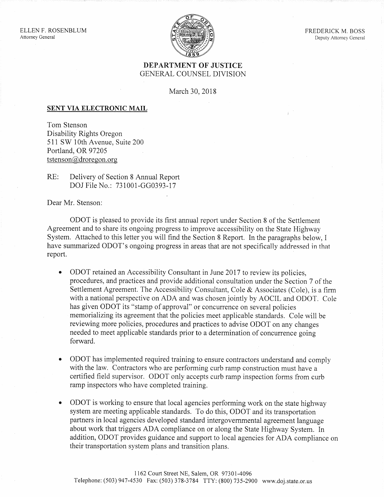

## DEPARTMENT OF JUSTICE GENERAL COUNSEL DIVISION

March 30, 2018

## SENT VIA ELECTRONIC MAIL

Tom Stenson Disability Rights Oregon 511 SW 10th Avenue, Suite 200 Portland, OR 97205 tstenson@droregon.org

RE: Delivery of Section 8 Annual Report DOJ File No.: 731001-GG0393-17

Dear Mr. Stenson:

ODOT is pleased to provide its first annual report under Section 8 of the Settlement Agreement and to share its ongoing progress to improve accessibility on the State Highway System. Attached to this letter you will find the Section 8 Report. In the paragraphs below, I have summarized ODOT's ongoing progress in areas that are not specifically addressed in that report.

- ODOT retained an Accessibility Consultant in June 2017 to review its policies, procedures, and practices and provide additional consultation under the Section 7 of the Settlement Agreement. The Accessibility Consultant, Cole & Associates (Cole), is a firm with a national perspective on ADA and was chosen jointly by AOCIL and ODOT. Cole has given ODOT its "stamp of approval" or concurrence on several policies memorializing its agreement that the policies meet applicable standards. Cole will be reviewing more policies, procedures and practices to advise ODOT on any changes needed to meet applicable standards prior to a determination of concurrence going forward.
- ODOT has implemented required training to ensure contractors understand and comply with the law. Contractors who are performing curb ramp construction must have a certified field supervisor. ODOT only accepts curb ramp inspection forms from curb ramp inspectors who have completed training.
- ODOT is working to ensure that local agencies performing work on the state highway system are meeting applicable standards. To do this, ODOT and its transportation partners in local agencies developed standard intergovernmental agreement language about work that triggers ADA compliance on or along the State Highway System. In addition, ODOT provides guidance and support to local agencies for ADA compliance on their transportation system plans and transition plans.